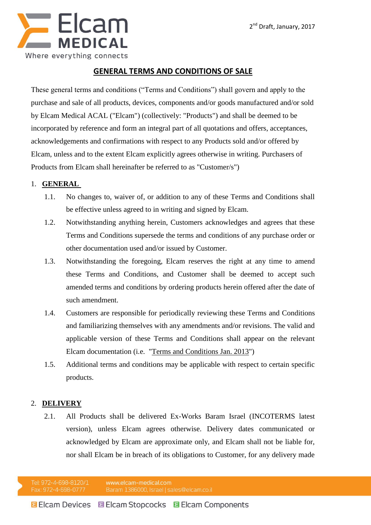

# **GENERAL TERMS AND CONDITIONS OF SALE**

These general terms and conditions ("Terms and Conditions") shall govern and apply to the purchase and sale of all products, devices, components and/or goods manufactured and/or sold by Elcam Medical ACAL ("Elcam") (collectively: "Products") and shall be deemed to be incorporated by reference and form an integral part of all quotations and offers, acceptances, acknowledgements and confirmations with respect to any Products sold and/or offered by Elcam, unless and to the extent Elcam explicitly agrees otherwise in writing. Purchasers of Products from Elcam shall hereinafter be referred to as "Customer/s")

### 1. **GENERAL**

- 1.1. No changes to, waiver of, or addition to any of these Terms and Conditions shall be effective unless agreed to in writing and signed by Elcam.
- 1.2. Notwithstanding anything herein, Customers acknowledges and agrees that these Terms and Conditions supersede the terms and conditions of any purchase order or other documentation used and/or issued by Customer.
- 1.3. Notwithstanding the foregoing, Elcam reserves the right at any time to amend these Terms and Conditions, and Customer shall be deemed to accept such amended terms and conditions by ordering products herein offered after the date of such amendment.
- 1.4. Customers are responsible for periodically reviewing these Terms and Conditions and familiarizing themselves with any amendments and/or revisions. The valid and applicable version of these Terms and Conditions shall appear on the relevant Elcam documentation (i.e. "Terms and Conditions Jan. 2013")
- 1.5. Additional terms and conditions may be applicable with respect to certain specific products.

## 2. **DELIVERY**

2.1. All Products shall be delivered Ex-Works Baram Israel (INCOTERMS latest version), unless Elcam agrees otherwise. Delivery dates communicated or acknowledged by Elcam are approximate only, and Elcam shall not be liable for, nor shall Elcam be in breach of its obligations to Customer, for any delivery made

Tel: 972-4-698-8120/1 www.elcam-medical.com Fax: 972-4-698-0777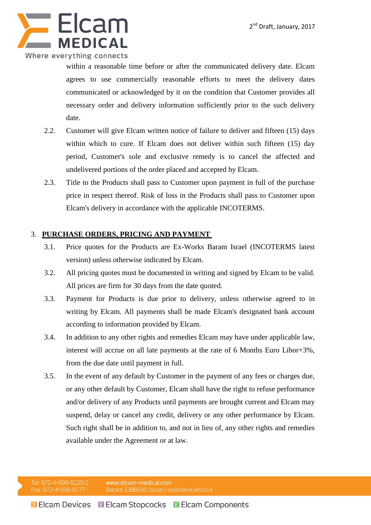

within a reasonable time before or after the communicated delivery date. Elcam agrees to use commercially reasonable efforts to meet the delivery dates communicated or acknowledged by it on the condition that Customer provides all necessary order and delivery information sufficiently prior to the such delivery date.

- 2.2. Customer will give Elcam written notice of failure to deliver and fifteen (15) days within which to cure. If Elcam does not deliver within such fifteen (15) day period, Customer's sole and exclusive remedy is to cancel the affected and undelivered portions of the order placed and accepted by Elcam.
- 2.3. Title to the Products shall pass to Customer upon payment in full of the purchase price in respect thereof. Risk of loss in the Products shall pass to Customer upon Elcam's delivery in accordance with the applicable INCOTERMS.

## 3. **PURCHASE ORDERS, PRICING AND PAYMENT**

- 3.1. Price quotes for the Products are Ex-Works Baram Israel (INCOTERMS latest version) unless otherwise indicated by Elcam.
- 3.2. All pricing quotes must be documented in writing and signed by Elcam to be valid. All prices are firm for 30 days from the date quoted.
- 3.3. Payment for Products is due prior to delivery, unless otherwise agreed to in writing by Elcam. All payments shall be made Elcam's designated bank account according to information provided by Elcam.
- 3.4. In addition to any other rights and remedies Elcam may have under applicable law, interest will accrue on all late payments at the rate of 6 Months Euro Libor+3%, from the due date until payment in full.
- 3.5. In the event of any default by Customer in the payment of any fees or charges due, or any other default by Customer, Elcam shall have the right to refuse performance and/or delivery of any Products until payments are brought current and Elcam may suspend, delay or cancel any credit, delivery or any other performance by Elcam. Such right shall be in addition to, and not in lieu of, any other rights and remedies available under the Agreement or at law.

Tel: 972-4-698-8120/1 www.elcam-medical.com Fax: 972-4-698-0777 Baram 1386000, Israel | sales@elcam.co.il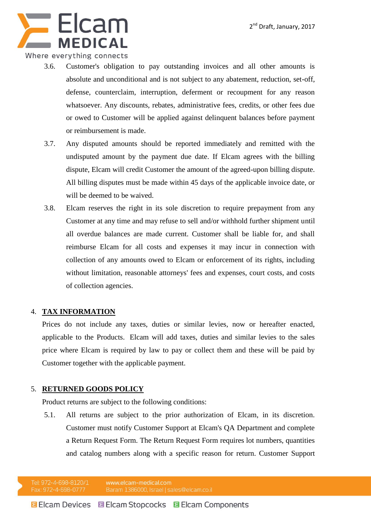

#### Where everything connects

- 3.6. Customer's obligation to pay outstanding invoices and all other amounts is absolute and unconditional and is not subject to any abatement, reduction, set-off, defense, counterclaim, interruption, deferment or recoupment for any reason whatsoever. Any discounts, rebates, administrative fees, credits, or other fees due or owed to Customer will be applied against delinquent balances before payment or reimbursement is made.
- 3.7. Any disputed amounts should be reported immediately and remitted with the undisputed amount by the payment due date. If Elcam agrees with the billing dispute, Elcam will credit Customer the amount of the agreed-upon billing dispute. All billing disputes must be made within 45 days of the applicable invoice date, or will be deemed to be waived.
- 3.8. Elcam reserves the right in its sole discretion to require prepayment from any Customer at any time and may refuse to sell and/or withhold further shipment until all overdue balances are made current. Customer shall be liable for, and shall reimburse Elcam for all costs and expenses it may incur in connection with collection of any amounts owed to Elcam or enforcement of its rights, including without limitation, reasonable attorneys' fees and expenses, court costs, and costs of collection agencies.

#### 4. **TAX INFORMATION**

Prices do not include any taxes, duties or similar levies, now or hereafter enacted, applicable to the Products. Elcam will add taxes, duties and similar levies to the sales price where Elcam is required by law to pay or collect them and these will be paid by Customer together with the applicable payment.

#### 5. **RETURNED GOODS POLICY**

Product returns are subject to the following conditions:

5.1. All returns are subject to the prior authorization of Elcam, in its discretion. Customer must notify Customer Support at Elcam's QA Department and complete a Return Request Form. The Return Request Form requires lot numbers, quantities and catalog numbers along with a specific reason for return. Customer Support

Tel: 972-4-698-8120/1 www.elcam-medical.com Fax: 972-4-698-0777 Baram 1386000, Israel | sales@elcam.co.il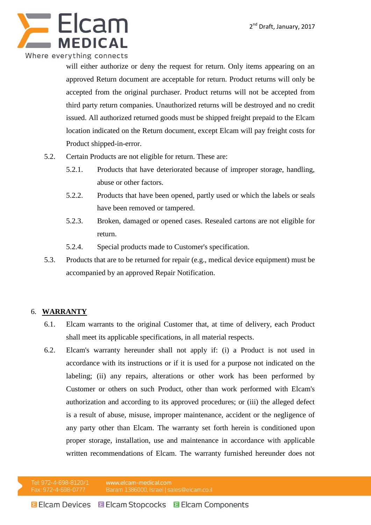

will either authorize or deny the request for return. Only items appearing on an approved Return document are acceptable for return. Product returns will only be accepted from the original purchaser. Product returns will not be accepted from third party return companies. Unauthorized returns will be destroyed and no credit issued. All authorized returned goods must be shipped freight prepaid to the Elcam location indicated on the Return document, except Elcam will pay freight costs for Product shipped-in-error.

- 5.2. Certain Products are not eligible for return. These are:
	- 5.2.1. Products that have deteriorated because of improper storage, handling, abuse or other factors.
	- 5.2.2. Products that have been opened, partly used or which the labels or seals have been removed or tampered.
	- 5.2.3. Broken, damaged or opened cases. Resealed cartons are not eligible for return.
	- 5.2.4. Special products made to Customer's specification.
- 5.3. Products that are to be returned for repair (e.g., medical device equipment) must be accompanied by an approved Repair Notification.

## 6. **WARRANTY**

- 6.1. Elcam warrants to the original Customer that, at time of delivery, each Product shall meet its applicable specifications, in all material respects.
- 6.2. Elcam's warranty hereunder shall not apply if: (i) a Product is not used in accordance with its instructions or if it is used for a purpose not indicated on the labeling; (ii) any repairs, alterations or other work has been performed by Customer or others on such Product, other than work performed with Elcam's authorization and according to its approved procedures; or (iii) the alleged defect is a result of abuse, misuse, improper maintenance, accident or the negligence of any party other than Elcam. The warranty set forth herein is conditioned upon proper storage, installation, use and maintenance in accordance with applicable written recommendations of Elcam. The warranty furnished hereunder does not

Tel: 972-4-698-8120/1 www.elcam-medical.com Fax: 972-4-698-0777 Baram 1386000, Israel | sales@elcam.co.il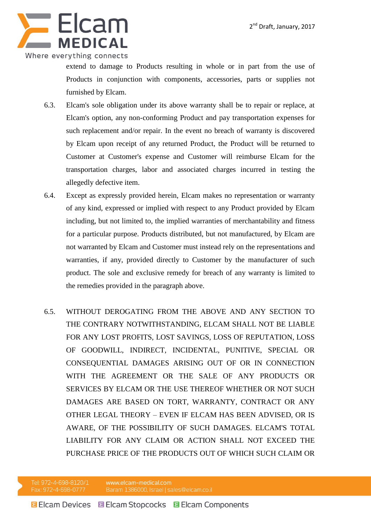

extend to damage to Products resulting in whole or in part from the use of Products in conjunction with components, accessories, parts or supplies not furnished by Elcam.

- 6.3. Elcam's sole obligation under its above warranty shall be to repair or replace, at Elcam's option, any non-conforming Product and pay transportation expenses for such replacement and/or repair. In the event no breach of warranty is discovered by Elcam upon receipt of any returned Product, the Product will be returned to Customer at Customer's expense and Customer will reimburse Elcam for the transportation charges, labor and associated charges incurred in testing the allegedly defective item.
- 6.4. Except as expressly provided herein, Elcam makes no representation or warranty of any kind, expressed or implied with respect to any Product provided by Elcam including, but not limited to, the implied warranties of merchantability and fitness for a particular purpose. Products distributed, but not manufactured, by Elcam are not warranted by Elcam and Customer must instead rely on the representations and warranties, if any, provided directly to Customer by the manufacturer of such product. The sole and exclusive remedy for breach of any warranty is limited to the remedies provided in the paragraph above.
- 6.5. WITHOUT DEROGATING FROM THE ABOVE AND ANY SECTION TO THE CONTRARY NOTWITHSTANDING, ELCAM SHALL NOT BE LIABLE FOR ANY LOST PROFITS, LOST SAVINGS, LOSS OF REPUTATION, LOSS OF GOODWILL, INDIRECT, INCIDENTAL, PUNITIVE, SPECIAL OR CONSEQUENTIAL DAMAGES ARISING OUT OF OR IN CONNECTION WITH THE AGREEMENT OR THE SALE OF ANY PRODUCTS OR SERVICES BY ELCAM OR THE USE THEREOF WHETHER OR NOT SUCH DAMAGES ARE BASED ON TORT, WARRANTY, CONTRACT OR ANY OTHER LEGAL THEORY – EVEN IF ELCAM HAS BEEN ADVISED, OR IS AWARE, OF THE POSSIBILITY OF SUCH DAMAGES. ELCAM'S TOTAL LIABILITY FOR ANY CLAIM OR ACTION SHALL NOT EXCEED THE PURCHASE PRICE OF THE PRODUCTS OUT OF WHICH SUCH CLAIM OR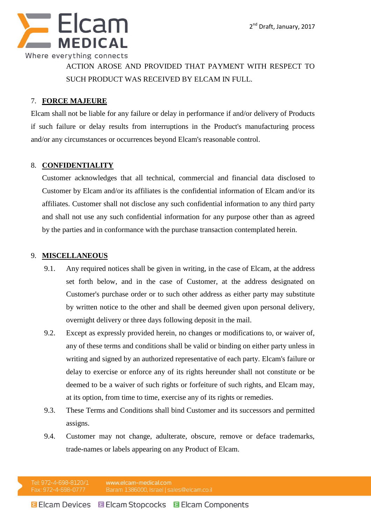

ACTION AROSE AND PROVIDED THAT PAYMENT WITH RESPECT TO SUCH PRODUCT WAS RECEIVED BY ELCAM IN FULL.

#### 7. **FORCE MAJEURE**

Elcam shall not be liable for any failure or delay in performance if and/or delivery of Products if such failure or delay results from interruptions in the Product's manufacturing process and/or any circumstances or occurrences beyond Elcam's reasonable control.

### 8. **CONFIDENTIALITY**

Customer acknowledges that all technical, commercial and financial data disclosed to Customer by Elcam and/or its affiliates is the confidential information of Elcam and/or its affiliates. Customer shall not disclose any such confidential information to any third party and shall not use any such confidential information for any purpose other than as agreed by the parties and in conformance with the purchase transaction contemplated herein.

#### 9. **MISCELLANEOUS**

- 9.1. Any required notices shall be given in writing, in the case of Elcam, at the address set forth below, and in the case of Customer, at the address designated on Customer's purchase order or to such other address as either party may substitute by written notice to the other and shall be deemed given upon personal delivery, overnight delivery or three days following deposit in the mail.
- 9.2. Except as expressly provided herein, no changes or modifications to, or waiver of, any of these terms and conditions shall be valid or binding on either party unless in writing and signed by an authorized representative of each party. Elcam's failure or delay to exercise or enforce any of its rights hereunder shall not constitute or be deemed to be a waiver of such rights or forfeiture of such rights, and Elcam may, at its option, from time to time, exercise any of its rights or remedies.
- 9.3. These Terms and Conditions shall bind Customer and its successors and permitted assigns.
- 9.4. Customer may not change, adulterate, obscure, remove or deface trademarks, trade-names or labels appearing on any Product of Elcam.

Tel: 972-4-698-8120/1 www.elcam-medical.com Fax: 972-4-698-0777